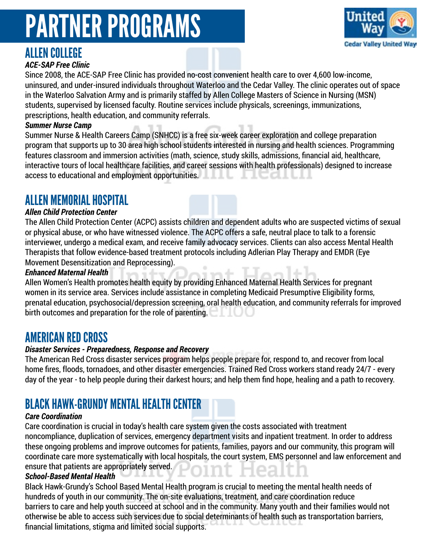# ALLEN COLLEGE

### *ACE-SAP Free Clinic*

Since 2008, the ACE-SAP Free Clinic has provided no-cost convenient health care to over 4,600 low-income, uninsured, and under-insured individuals throughout Waterloo and the Cedar Valley. The clinic operates out of space in the Waterloo Salvation Army and is primarily staffed by Allen College Masters of Science in Nursing (MSN) students, supervised by licensed faculty. Routine services include physicals, screenings, immunizations, prescriptions, health education, and community referrals.

### *Summer Nurse Camp*

Summer Nurse & Health Careers Camp (SNHCC) is a free six-week career exploration and college preparation program that supports up to 30 area high school students interested in nursing and health sciences. Programming features classroom and immersion activities (math, science, study skills, admissions, financial aid, healthcare, interactive tours of local healthcare facilities, and career sessions with health professionals) designed to increase access to educational and employment opportunities. 10a

# ALLEN MEMORIAL HOSPITAL

### *Allen Child Protection Center*

The Allen Child Protection Center (ACPC) assists children and dependent adults who are suspected victims of sexual or physical abuse, or who have witnessed violence. The ACPC offers a safe, neutral place to talk to a forensic interviewer, undergo a medical exam, and receive family advocacy services. Clients can also access Mental Health Therapists that follow evidence-based treatment protocols including Adlerian Play Therapy and EMDR (Eye Movement Desensitization and Reprocessing).

### *Enhanced Maternal Health*

Allen Women's Health promotes health equity by providing Enhanced Maternal Health Services for pregnant women in its service area. Services include assistance in completing Medicaid Presumptive Eligibility forms, prenatal education, psychosocial/depression screening, oral health education, and community referrals for improved birth outcomes and preparation for the role of parenting.

## AMERICAN RED CROSS

### *Disaster Services - Preparedness, Response and Recovery*

The American Red Cross disaster services program helps people prepare for, respond to, and recover from local home fires, floods, tornadoes, and other disaster emergencies. Trained Red Cross workers stand ready 24/7 - every day of the year - to help people during their darkest hours; and help them find hope, healing and a path to recovery.

# BLACK HAWK-GRUNDY MENTAL HEALTH CENTER

### *Care Coordination*

Care coordination is crucial in today's health care system given the costs associated with treatment noncompliance, duplication of services, emergency department visits and inpatient treatment. In order to address these ongoing problems and improve outcomes for patients, families, payors and our community, this program will coordinate care more systematically with local hospitals, the court system, EMS personnel and law enforcement and ensure that patients are appropriately served.

### *School-Based Mental Health*

Black Hawk-Grundy's School Based Mental Health program is crucial to meeting the mental health needs of hundreds of youth in our community. The on-site evaluations, treatment, and care coordination reduce barriers to care and help youth succeed at school and in the community. Many youth and their families would not otherwise be able to access such services due to social determinants of health such as transportation barriers, financial limitations, stigma and limited social supports.

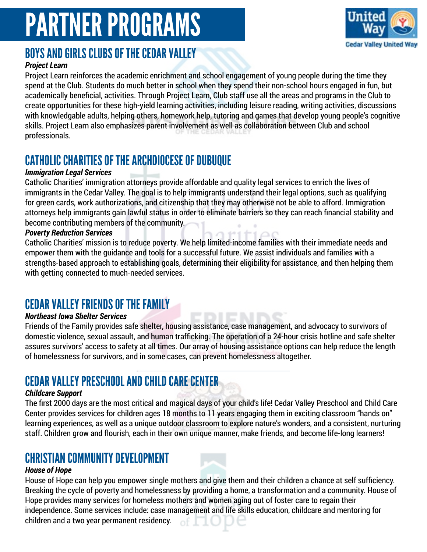

## BOYS AND GIRLS CLUBS OF THE CEDAR VALLEY

### *Project Learn*

Project Learn reinforces the academic enrichment and school engagement of young people during the time they spend at the Club. Students do much better in school when they spend their non-school hours engaged in fun, but academically beneficial, activities. Through Project Learn, Club staff use all the areas and programs in the Club to create opportunities for these high-yield learning activities, including leisure reading, writing activities, discussions with knowledgable adults, helping others, homework help, tutoring and games that develop young people's cognitive skills. Project Learn also emphasizes parent involvement as well as collaboration between Club and school professionals.

## CATHOLIC CHARITIES OF THE ARCHDIOCESE OF DUBUQUE

### *Immigration Legal Services*

Catholic Charities' immigration attorneys provide affordable and quality legal services to enrich the lives of immigrants in the Cedar Valley. The goal is to help immigrants understand their legal options, such as qualifying for green cards, work authorizations, and citizenship that they may otherwise not be able to afford. Immigration attorneys help immigrants gain lawful status in order to eliminate barriers so they can reach financial stability and become contributing members of the community.

### *Poverty Reduction Services*

Catholic Charities' mission is to reduce poverty. We help limited-income families with their immediate needs and empower them with the guidance and tools for a successful future. We assist individuals and families with a strengths-based approach to establishing goals, determining their eligibility for assistance, and then helping them with getting connected to much-needed services.

# CEDAR VALLEY FRIENDS OF THE FAMILY

### *Northeast Iowa Shelter Services*

Friends of the Family provides safe shelter, housing assistance, case management, and advocacy to survivors of domestic violence, sexual assault, and human trafficking. The operation of a 24-hour crisis hotline and safe shelter assures survivors' access to safety at all times. Our array of housing assistance options can help reduce the length of homelessness for survivors, and in some cases, can prevent homelessness altogether.

# CEDAR VALLEY PRESCHOOL AND CHILD CARE CENTER

### *Childcare Support*

The first 2000 days are the most critical and magical days of your child's life! Cedar Valley Preschool and Child Care Center provides services for children ages 18 months to 11 years engaging them in exciting classroom "hands on" learning experiences, as well as a unique outdoor classroom to explore nature's wonders, and a consistent, nurturing staff. Children grow and flourish, each in their own unique manner, make friends, and become life-long learners!

### CHRISTIAN COMMUNITY DEVELOPMENT

### *House of Hope*

House of Hope can help you empower single mothers and give them and their children a chance at self sufficiency. Breaking the cycle of poverty and homelessness by providing a home, a transformation and a community. House of Hope provides many services for homeless mothers and women aging out of foster care to regain their independence. Some services include: case management and life skills education, childcare and mentoring for children and a two year permanent residency. of I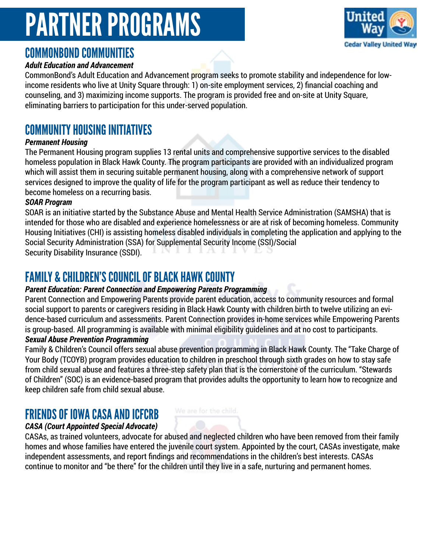

## COMMONBOND COMMUNITIES

### *Adult Education and Advancement*

CommonBond's Adult Education and Advancement program seeks to promote stability and independence for lowincome residents who live at Unity Square through: 1) on-site employment services, 2) financial coaching and counseling, and 3) maximizing income supports. The program is provided free and on-site at Unity Square, eliminating barriers to participation for this under-served population.

## COMMUNITY HOUSING INITIATIVES

### *Permanent Housing*

The Permanent Housing program supplies 13 rental units and comprehensive supportive services to the disabled homeless population in Black Hawk County. The program participants are provided with an individualized program which will assist them in securing suitable permanent housing, along with a comprehensive network of support services designed to improve the quality of life for the program participant as well as reduce their tendency to become homeless on a recurring basis.

### *SOAR Program*

SOAR is an initiative started by the Substance Abuse and Mental Health Service Administration (SAMSHA) that is intended for those who are disabled and experience homelessness or are at risk of becoming homeless. Community Housing Initiatives (CHI) is assisting homeless disabled individuals in completing the application and applying to the Social Security Administration (SSA) for Supplemental Security Income (SSI)/Social Security Disability Insurance (SSDI).

## FAMILY & CHILDREN'S COUNCIL OF BLACK HAWK COUNTY

### *Parent Education: Parent Connection and Empowering Parents Programming*

Parent Connection and Empowering Parents provide parent education, access to community resources and formal social support to parents or caregivers residing in Black Hawk County with children birth to twelve utilizing an evidence-based curriculum and assessments. Parent Connection provides in-home services while Empowering Parents is group-based. All programming is available with minimal eligibility guidelines and at no cost to participants.

### *Sexual Abuse Prevention Programming*

Family & Children's Council offers sexual abuse prevention programming in Black Hawk County. The "Take Charge of Your Body (TCOYB) program provides education to children in preschool through sixth grades on how to stay safe from child sexual abuse and features a three-step safety plan that is the cornerstone of the curriculum. "Stewards of Children" (SOC) is an evidence-based program that provides adults the opportunity to learn how to recognize and keep children safe from child sexual abuse.

### FRIENDS OF IOWA CASA AND ICFCRB

### *CASA (Court Appointed Special Advocate)*

CASAs, as trained volunteers, advocate for abused and neglected children who have been removed from their family homes and whose families have entered the juvenile court system. Appointed by the court, CASAs investigate, make independent assessments, and report findings and recommendations in the children's best interests. CASAs continue to monitor and "be there" for the children until they live in a safe, nurturing and permanent homes.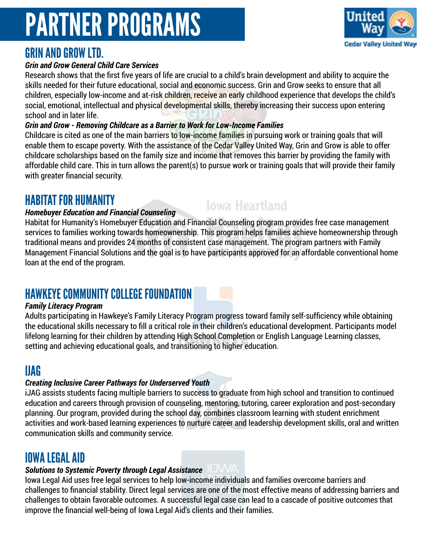## GRIN AND GROW LTD.

### *Grin and Grow General Child Care Services*

Research shows that the first five years of life are crucial to a child's brain development and ability to acquire the skills needed for their future educational, social and economic success. Grin and Grow seeks to ensure that all children, especially low-income and at-risk children, receive an early childhood experience that develops the child's social, emotional, intellectual and physical developmental skills, thereby increasing their success upon entering school and in later life.

### *Grin and Grow - Removing Childcare as a Barrier to Work for Low-Income Families*

Childcare is cited as one of the main barriers to low-income families in pursuing work or training goals that will enable them to escape poverty. With the assistance of the Cedar Valley United Way, Grin and Grow is able to offer childcare scholarships based on the family size and income that removes this barrier by providing the family with affordable child care. This in turn allows the parent(s) to pursue work or training goals that will provide their family with greater financial security.

# HABITAT FOR HUMANITY

### *Homebuyer Education and Financial Counseling*

Habitat for Humanity's Homebuyer Education and Financial Counseling program provides free case management services to families working towards homeownership. This program helps families achieve homeownership through traditional means and provides 24 months of consistent case management. The program partners with Family Management Financial Solutions and the goal is to have participants approved for an affordable conventional home loan at the end of the program.

**Iowa Heartland** 

# HAWKEYE COMMUNITY COLLEGE FOUNDATION

### *Family Literacy Program*

Adults participating in Hawkeye's Family Literacy Program progress toward family self-sufficiency while obtaining the educational skills necessary to fill a critical role in their children's educational development. Participants model lifelong learning for their children by attending High School Completion or English Language Learning classes, setting and achieving educational goals, and transitioning to higher education.

# IJAG

### *Creating Inclusive Career Pathways for Underserved Youth*

iJAG assists students facing multiple barriers to success to graduate from high school and transition to continued education and careers through provision of counseling, mentoring, tutoring, career exploration and post-secondary planning. Our program, provided during the school day, combines classroom learning with student enrichment activities and work-based learning experiences to nurture career and leadership development skills, oral and written communication skills and community service.

## IOWA LEGAL AID

### *Solutions to Systemic Poverty through Legal Assistance*

Iowa Legal Aid uses free legal services to help low-income individuals and families overcome barriers and challenges to financial stability. Direct legal services are one of the most effective means of addressing barriers and challenges to obtain favorable outcomes. A successful legal case can lead to a cascade of positive outcomes that improve the financial well-being of Iowa Legal Aid's clients and their families.

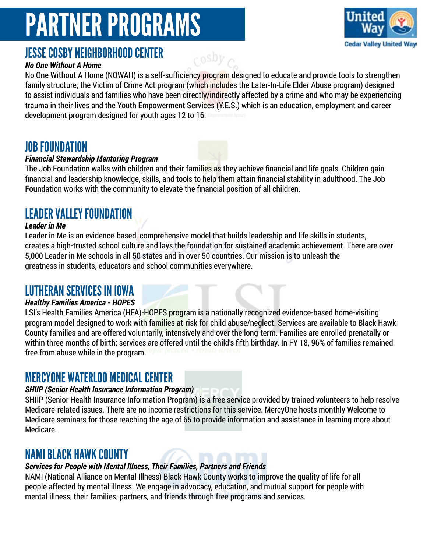

## JESSE COSBY NEIGHBORHOOD CENTER

### *No One Without A Home*

No One Without A Home (NOWAH) is a self-sufficiency program designed to educate and provide tools to strengthen family structure; the Victim of Crime Act program (which includes the Later-In-Life Elder Abuse program) designed to assist individuals and families who have been directly/indirectly affected by a crime and who may be experiencing trauma in their lives and the Youth Empowerment Services (Y.E.S.) which is an education, employment and career development program designed for youth ages 12 to 16.

cosby

### JOB FOUNDATION

### *Financial Stewardship Mentoring Program*

The Job Foundation walks with children and their families as they achieve financial and life goals. Children gain financial and leadership knowledge, skills, and tools to help them attain financial stability in adulthood. The Job Foundation works with the community to elevate the financial position of all children.

## LEADER VALLEY FOUNDATION

#### *Leader in Me*

Leader in Me is an evidence-based, comprehensive model that builds leadership and life skills in students, creates a high-trusted school culture and lays the foundation for sustained academic achievement. There are over 5,000 Leader in Me schools in all 50 states and in over 50 countries. Our mission is to unleash the greatness in students, educators and school communities everywhere.

### LUTHERAN SERVICES IN IOWA

### *Healthy Families America - HOPES*

LSI's Health Families America (HFA)-HOPES program is a nationally recognized evidence-based home-visiting program model designed to work with families at-risk for child abuse/neglect. Services are available to Black Hawk County families and are offered voluntarily, intensively and over the long-term. Families are enrolled prenatally or within three months of birth; services are offered until the child's fifth birthday. In FY 18, 96% of families remained free from abuse while in the program.

### MERCYONE WATERLOO MEDICAL CENTER

### *SHIIP (Senior Health Insurance Information Program)*

SHIIP (Senior Health Insurance Information Program) is a free service provided by trained volunteers to help resolve Medicare-related issues. There are no income restrictions for this service. MercyOne hosts monthly Welcome to Medicare seminars for those reaching the age of 65 to provide information and assistance in learning more about Medicare.

## NAMI BLACK HAWK COUNTY

### *Services for People with Mental Illness, Their Families, Partners and Friends*

NAMI (National Alliance on Mental Illness) Black Hawk County works to improve the quality of life for all people affected by mental illness. We engage in advocacy, education, and mutual support for people with mental illness, their families, partners, and friends through free programs and services.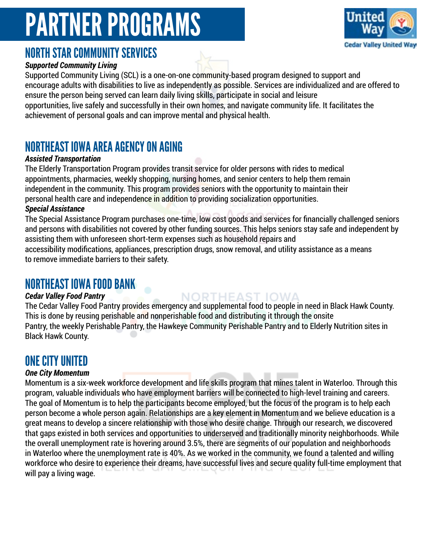

# NORTH STAR COMMUNITY SERVICES

### *Supported Community Living*

Supported Community Living (SCL) is a one-on-one community-based program designed to support and encourage adults with disabilities to live as independently as possible. Services are individualized and are offered to ensure the person being served can learn daily living skills, participate in social and leisure opportunities, live safely and successfully in their own homes, and navigate community life. It facilitates the achievement of personal goals and can improve mental and physical health.

# NORTHEAST IOWA AREA AGENCY ON AGING

### *Assisted Transportation*

The Elderly Transportation Program provides transit service for older persons with rides to medical appointments, pharmacies, weekly shopping, nursing homes, and senior centers to help them remain independent in the community. This program provides seniors with the opportunity to maintain their personal health care and independence in addition to providing socialization opportunities.

### *Special Assistance*

The Special Assistance Program purchases one-time, low cost goods and services for financially challenged seniors and persons with disabilities not covered by other funding sources. This helps seniors stay safe and independent by assisting them with unforeseen short-term expenses such as household repairs and

accessibility modifications, appliances, prescription drugs, snow removal, and utility assistance as a means to remove immediate barriers to their safety.

## NORTHEAST IOWA FOOD BANK

### *Cedar Valley Food Pantry*

The Cedar Valley Food Pantry provides emergency and supplemental food to people in need in Black Hawk County. This is done by reusing perishable and nonperishable food and distributing it through the onsite Pantry, the weekly Perishable Pantry, the Hawkeye Community Perishable Pantry and to Elderly Nutrition sites in Black Hawk County.

NORTHEAST IOWA

## ONE CITY UNITED

### *One City Momentum*

Momentum is a six-week workforce development and life skills program that mines talent in Waterloo. Through this program, valuable individuals who have employment barriers will be connected to high-level training and careers. The goal of Momentum is to help the participants become employed, but the focus of the program is to help each person become a whole person again. Relationships are a key element in Momentum and we believe education is a great means to develop a sincere relationship with those who desire change. Through our research, we discovered that gaps existed in both services and opportunities to underserved and traditionally minority neighborhoods. While the overall unemployment rate is hovering around 3.5%, there are segments of our population and neighborhoods in Waterloo where the unemployment rate is 40%. As we worked in the community, we found a talented and willing workforce who desire to experience their dreams, have successful lives and secure quality full-time employment that will pay a living wage.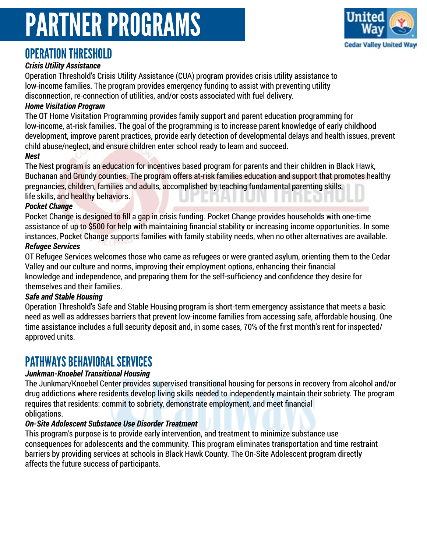

### OPERATION THRESHOLD

### *Crisis Utility Assistance*

Operation Threshold's Crisis Utility Assistance (CUA) program provides crisis utility assistance to low-income families. The program provides emergency funding to assist with preventing utility disconnection, re-connection of utilities, and/or costs associated with fuel delivery.

### *Home Visitation Program*

The OT Home Visitation Programming provides family support and parent education programming for low-income, at-risk families. The goal of the programming is to increase parent knowledge of early childhood development, improve parent practices, provide early detection of developmental delays and health issues, prevent child abuse/neglect, and ensure children enter school ready to learn and succeed.

#### *Nest*

The Nest program is an education for incentives based program for parents and their children in Black Hawk, Buchanan and Grundy counties. The program offers at-risk families education and support that promotes healthy pregnancies, children, families and adults, accomplished by teaching fundamental parenting skills, life skills, and healthy behaviors.

#### *Pocket Change*

Pocket Change is designed to fill a gap in crisis funding. Pocket Change provides households with one-time assistance of up to \$500 for help with maintaining financial stability or increasing income opportunities. In some instances, Pocket Change supports families with family stability needs, when no other alternatives are available.

#### *Refugee Services*

OT Refugee Services welcomes those who came as refugees or were granted asylum, orienting them to the Cedar Valley and our culture and norms, improving their employment options, enhancing their financial knowledge and independence, and preparing them for the self-sufficiency and confidence they desire for themselves and their families.

### *Safe and Stable Housing*

Operation Threshold's Safe and Stable Housing program is short-term emergency assistance that meets a basic need as well as addresses barriers that prevent low-income families from accessing safe, affordable housing. One time assistance includes a full security deposit and, in some cases, 70% of the first month's rent for inspected/ approved units.

## PATHWAYS BEHAVIORAL SERVICES

### *Junkman-Knoebel Transitional Housing*

The Junkman/Knoebel Center provides supervised transitional housing for persons in recovery from alcohol and/or drug addictions where residents develop living skills needed to independently maintain their sobriety. The program requires that residents: commit to sobriety, demonstrate employment, and meet financial obligations.

### *On-Site Adolescent Substance Use Disorder Treatment*

This program's purpose is to provide early intervention, and treatment to minimize substance use consequences for adolescents and the community. This program eliminates transportation and time restraint barriers by providing services at schools in Black Hawk County. The On-Site Adolescent program directly affects the future success of participants.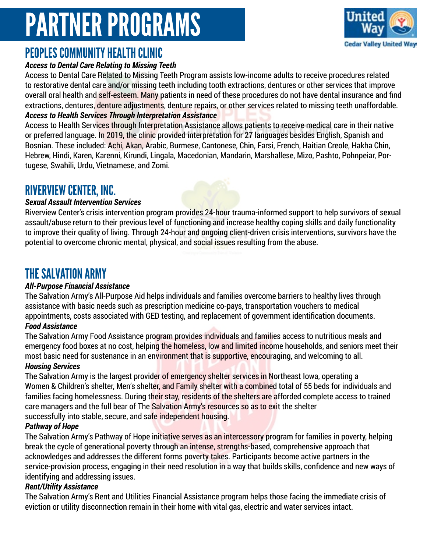

## PEOPLES COMMUNITY HEALTH CLINIC

### *Access to Dental Care Relating to Missing Teeth*

Access to Dental Care Related to Missing Teeth Program assists low-income adults to receive procedures related to restorative dental care and/or missing teeth including tooth extractions, dentures or other services that improve overall oral health and self-esteem. Many patients in need of these procedures do not have dental insurance and find extractions, dentures, denture adjustments, denture repairs, or other services related to missing teeth unaffordable. *Access to Health Services Through Interpretation Assistance*

Access to Health Services through Interpretation Assistance allows patients to receive medical care in their native or preferred language. In 2019, the clinic provided interpretation for 27 languages besides English, Spanish and Bosnian. These included: Achi, Akan, Arabic, Burmese, Cantonese, Chin, Farsi, French, Haitian Creole, Hakha Chin, Hebrew, Hindi, Karen, Karenni, Kirundi, Lingala, Macedonian, Mandarin, Marshallese, Mizo, Pashto, Pohnpeiar, Portugese, Swahili, Urdu, Vietnamese, and Zomi.

## RIVERVIEW CENTER, INC.

### *Sexual Assault Intervention Services*

Riverview Center's crisis intervention program provides 24-hour trauma-informed support to help survivors of sexual assault/abuse return to their previous level of functioning and increase healthy coping skills and daily functionality to improve their quality of living. Through 24-hour and ongoing client-driven crisis interventions, survivors have the potential to overcome chronic mental, physical, and social issues resulting from the abuse.

## THE SALVATION ARMY

### *All-Purpose Financial Assistance*

The Salvation Army's All-Purpose Aid helps individuals and families overcome barriers to healthy lives through assistance with basic needs such as prescription medicine co-pays, transportation vouchers to medical appointments, costs associated with GED testing, and replacement of government identification documents. *Food Assistance*

The Salvation Army Food Assistance program provides individuals and families access to nutritious meals and emergency food boxes at no cost, helping the homeless, low and limited income households, and seniors meet their most basic need for sustenance in an environment that is supportive, encouraging, and welcoming to all.

### *Housing Services*

The Salvation Army is the largest provider of emergency shelter services in Northeast Iowa, operating a Women & Children's shelter, Men's shelter, and Family shelter with a combined total of 55 beds for individuals and families facing homelessness. During their stay, residents of the shelters are afforded complete access to trained care managers and the full bear of The Salvation Army's resources so as to exit the shelter successfully into stable, secure, and safe independent housing.

### *Pathway of Hope*

The Salvation Army's Pathway of Hope initiative serves as an intercessory program for families in poverty, helping break the cycle of generational poverty through an intense, strengths-based, comprehensive approach that acknowledges and addresses the different forms poverty takes. Participants become active partners in the service-provision process, engaging in their need resolution in a way that builds skills, confidence and new ways of identifying and addressing issues.

### *Rent/Utility Assistance*

The Salvation Army's Rent and Utilities Financial Assistance program helps those facing the immediate crisis of eviction or utility disconnection remain in their home with vital gas, electric and water services intact.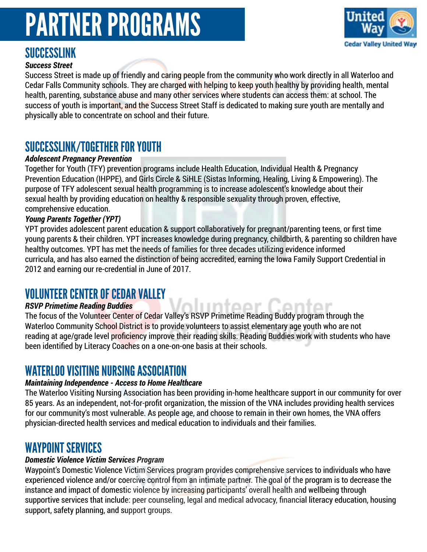

## SUCCESSLINK

### *Success Street*

Success Street is made up of friendly and caring people from the community who work directly in all Waterloo and Cedar Falls Community schools. They are charged with helping to keep youth healthy by providing health, mental health, parenting, substance abuse and many other services where students can access them: at school. The success of youth is important, and the Success Street Staff is dedicated to making sure youth are mentally and physically able to concentrate on school and their future.

## SUCCESSLINK/TOGETHER FOR YOUTH

### *Adolescent Pregnancy Prevention*

Together for Youth (TFY) prevention programs include Health Education, Individual Health & Pregnancy Prevention Education (IHPPE), and Girls Circle & SiHLE (Sistas Informing, Healing, Living & Empowering). The purpose of TFY adolescent sexual health programming is to increase adolescent's knowledge about their sexual health by providing education on healthy & responsible sexuality through proven, effective, comprehensive education.

#### *Young Parents Together (YPT)*

YPT provides adolescent parent education & support collaboratively for pregnant/parenting teens, or first time young parents & their children. YPT increases knowledge during pregnancy, childbirth, & parenting so children have healthy outcomes. YPT has met the needs of families for three decades utilizing evidence informed curricula, and has also earned the distinction of being accredited, earning the Iowa Family Support Credential in 2012 and earning our re-credential in June of 2017.

### VOLUNTEER CENTER OF CEDAR VALLEY

#### *RSVP Primetime Reading Buddies*

The focus of the Volunteer Center of Cedar Valley's RSVP Primetime Reading Buddy program through the Waterloo Community School District is to provide volunteers to assist elementary age youth who are not reading at age/grade level proficiency improve their reading skills. Reading Buddies work with students who have been identified by Literacy Coaches on a one-on-one basis at their schools.

<u>luntoor</u>

### WATERLOO VISITING NURSING ASSOCIATION

### *Maintaining Independence - Access to Home Healthcare*

The Waterloo Visiting Nursing Association has been providing in-home healthcare support in our community for over 85 years. As an independent, not-for-profit organization, the mission of the VNA includes providing health services for our community's most vulnerable. As people age, and choose to remain in their own homes, the VNA offers physician-directed health services and medical education to individuals and their families.

### WAYPOINT SERVICES

### *Domestic Violence Victim Services Program*

Waypoint's Domestic Violence Victim Services program provides comprehensive services to individuals who have experienced violence and/or coercive control from an intimate partner. The goal of the program is to decrease the instance and impact of domestic violence by increasing participants' overall health and wellbeing through supportive services that include: peer counseling, legal and medical advocacy, financial literacy education, housing support, safety planning, and support groups.